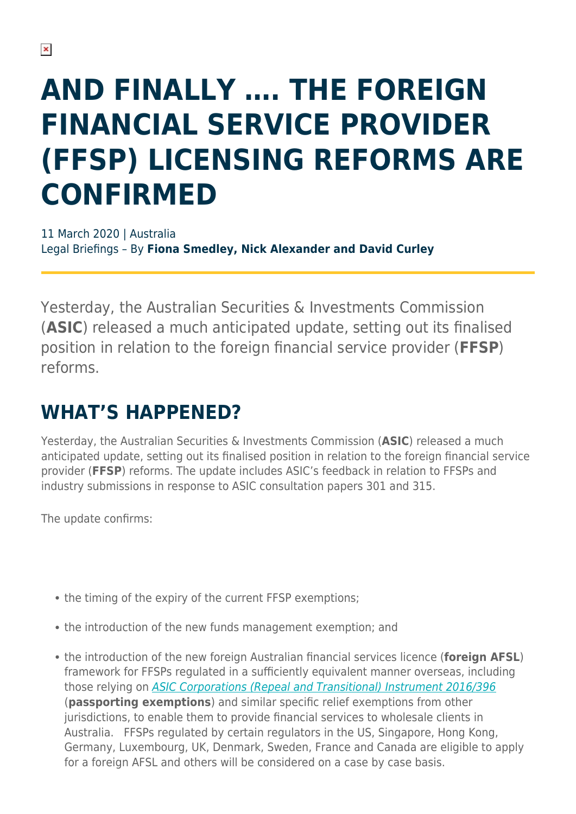# **AND FINALLY …. THE FOREIGN FINANCIAL SERVICE PROVIDER (FFSP) LICENSING REFORMS ARE CONFIRMED**

11 March 2020 | Australia Legal Briefings – By **Fiona Smedley, Nick Alexander and David Curley**

Yesterday, the Australian Securities & Investments Commission (**ASIC**) released a much anticipated update, setting out its finalised position in relation to the foreign financial service provider (**FFSP**) reforms.

## **WHAT'S HAPPENED?**

Yesterday, the Australian Securities & Investments Commission (**ASIC**) released a much anticipated update, setting out its finalised position in relation to the foreign financial service provider (**FFSP**) reforms. The update includes ASIC's feedback in relation to FFSPs and industry submissions in response to ASIC consultation papers 301 and 315.

The update confirms:

- the timing of the expiry of the current FFSP exemptions:
- the introduction of the new funds management exemption; and
- the introduction of the new foreign Australian financial services licence (**foreign AFSL**) framework for FFSPs regulated in a sufficiently equivalent manner overseas, including those relying on [ASIC Corporations \(Repeal and Transitional\) Instrument 2016/396](https://www.legislation.gov.au/Details/F2016L01497) (**passporting exemptions**) and similar specific relief exemptions from other jurisdictions, to enable them to provide financial services to wholesale clients in Australia. FFSPs regulated by certain regulators in the US, Singapore, Hong Kong, Germany, Luxembourg, UK, Denmark, Sweden, France and Canada are eligible to apply for a foreign AFSL and others will be considered on a case by case basis.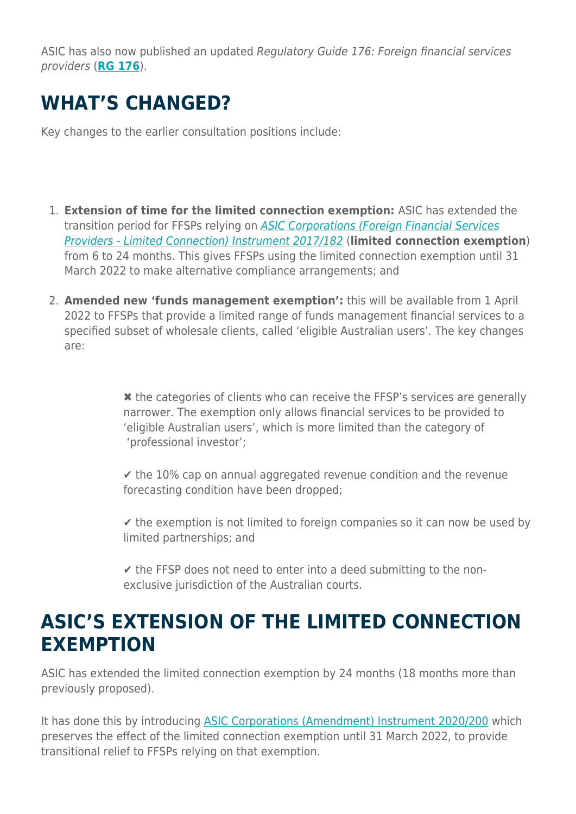ASIC has also now published an updated Regulatory Guide 176: Foreign financial services providers (**[RG 176](https://download.asic.gov.au/media/5494188/rg176-published-10-march-2020.pdf)**).

## **WHAT'S CHANGED?**

Key changes to the earlier consultation positions include:

- 1. **Extension of time for the limited connection exemption:** ASIC has extended the transition period for FFSPs relying on [ASIC Corporations \(Foreign Financial Services](https://www.legislation.gov.au/Details/F2017L00320) [Providers - Limited Connection\) Instrument 2017/182](https://www.legislation.gov.au/Details/F2017L00320) (**limited connection exemption**) from 6 to 24 months. This gives FFSPs using the limited connection exemption until 31 March 2022 to make alternative compliance arrangements; and
- 2. **Amended new 'funds management exemption':** this will be available from 1 April 2022 to FFSPs that provide a limited range of funds management financial services to a specified subset of wholesale clients, called 'eligible Australian users'. The key changes are:

✖ the categories of clients who can receive the FFSP's services are generally narrower. The exemption only allows financial services to be provided to 'eligible Australian users', which is more limited than the category of 'professional investor';

 $\le$  the 10% cap on annual aggregated revenue condition and the revenue forecasting condition have been dropped;

 $\triangledown$  the exemption is not limited to foreign companies so it can now be used by limited partnerships; and

 $\checkmark$  the FFSP does not need to enter into a deed submitting to the nonexclusive jurisdiction of the Australian courts.

#### **ASIC'S EXTENSION OF THE LIMITED CONNECTION EXEMPTION**

ASIC has extended the limited connection exemption by 24 months (18 months more than previously proposed).

It has done this by introducing **ASIC Corporations (Amendment) Instrument 2020/200** which preserves the effect of the limited connection exemption until 31 March 2022, to provide transitional relief to FFSPs relying on that exemption.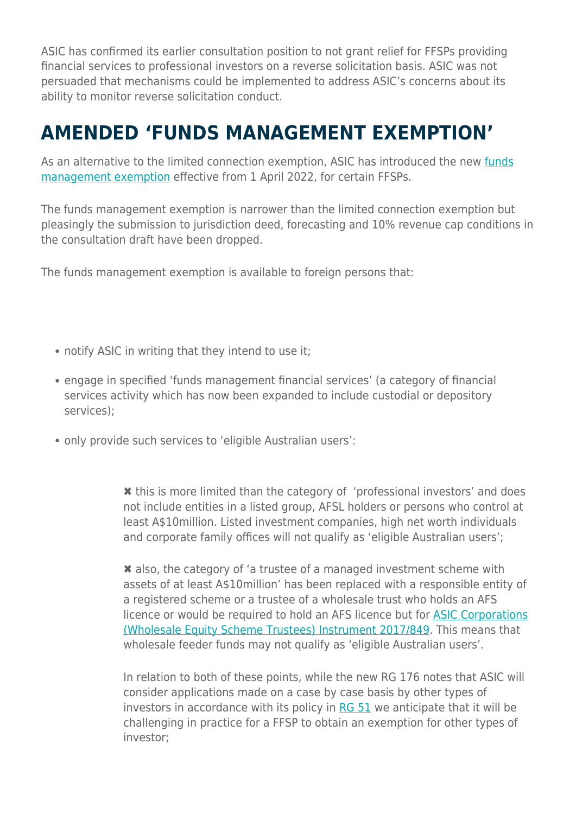ASIC has confirmed its earlier consultation position to not grant relief for FFSPs providing financial services to professional investors on a reverse solicitation basis. ASIC was not persuaded that mechanisms could be implemented to address ASIC's concerns about its ability to monitor reverse solicitation conduct.

#### **AMENDED 'FUNDS MANAGEMENT EXEMPTION'**

As an alternative to the limited connection exemption, ASIC has introduced the new [funds](https://www.legislation.gov.au/Details/F2020L00238) [management exemption](https://www.legislation.gov.au/Details/F2020L00238) effective from 1 April 2022, for certain FFSPs.

The funds management exemption is narrower than the limited connection exemption but pleasingly the submission to jurisdiction deed, forecasting and 10% revenue cap conditions in the consultation draft have been dropped.

The funds management exemption is available to foreign persons that:

- notify ASIC in writing that they intend to use it;
- engage in specified 'funds management financial services' (a category of financial services activity which has now been expanded to include custodial or depository services);
- only provide such services to 'eligible Australian users':

✖ this is more limited than the category of 'professional investors' and does not include entities in a listed group, AFSL holders or persons who control at least A\$10million. Listed investment companies, high net worth individuals and corporate family offices will not qualify as 'eligible Australian users';

✖ also, the category of 'a trustee of a managed investment scheme with assets of at least A\$10million' has been replaced with a responsible entity of a registered scheme or a trustee of a wholesale trust who holds an AFS licence or would be required to hold an AFS licence but for [ASIC Corporations](https://www.legislation.gov.au/Details/F2018C00721) [\(Wholesale Equity Scheme Trustees\) Instrument 2017/849](https://www.legislation.gov.au/Details/F2018C00721). This means that wholesale feeder funds may not qualify as 'eligible Australian users'.

In relation to both of these points, while the new RG 176 notes that ASIC will consider applications made on a case by case basis by other types of investors in accordance with its policy in [RG 51](https://download.asic.gov.au/media/1238972/rg51.pdf) we anticipate that it will be challenging in practice for a FFSP to obtain an exemption for other types of investor;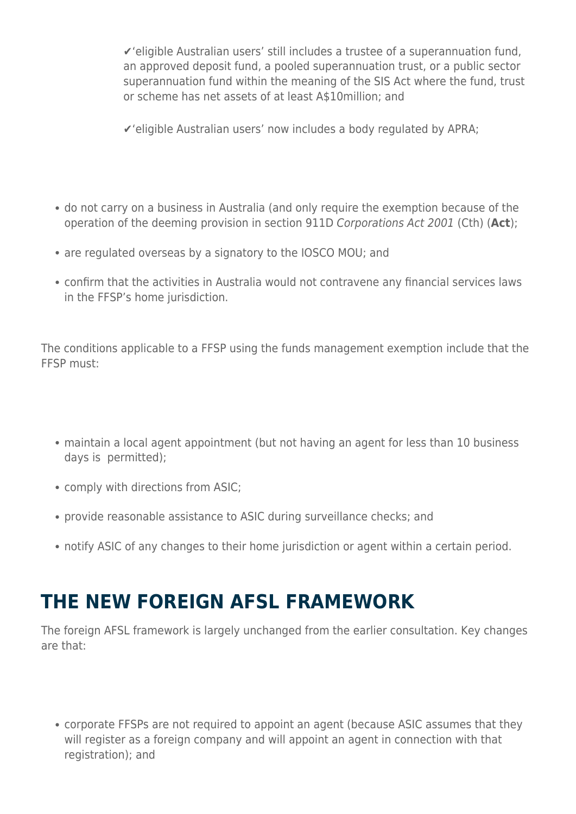✔'eligible Australian users' still includes a trustee of a superannuation fund, an approved deposit fund, a pooled superannuation trust, or a public sector superannuation fund within the meaning of the SIS Act where the fund, trust or scheme has net assets of at least A\$10million; and

✔'eligible Australian users' now includes a body regulated by APRA;

- do not carry on a business in Australia (and only require the exemption because of the operation of the deeming provision in section 911D Corporations Act 2001 (Cth) (**Act**);
- are regulated overseas by a signatory to the IOSCO MOU; and
- confirm that the activities in Australia would not contravene any financial services laws in the FFSP's home jurisdiction.

The conditions applicable to a FFSP using the funds management exemption include that the FFSP must:

- maintain a local agent appointment (but not having an agent for less than 10 business days is permitted);
- comply with directions from ASIC;
- provide reasonable assistance to ASIC during surveillance checks; and
- notify ASIC of any changes to their home jurisdiction or agent within a certain period.

## **THE NEW FOREIGN AFSL FRAMEWORK**

The foreign AFSL framework is largely unchanged from the earlier consultation. Key changes are that:

corporate FFSPs are not required to appoint an agent (because ASIC assumes that they will register as a foreign company and will appoint an agent in connection with that registration); and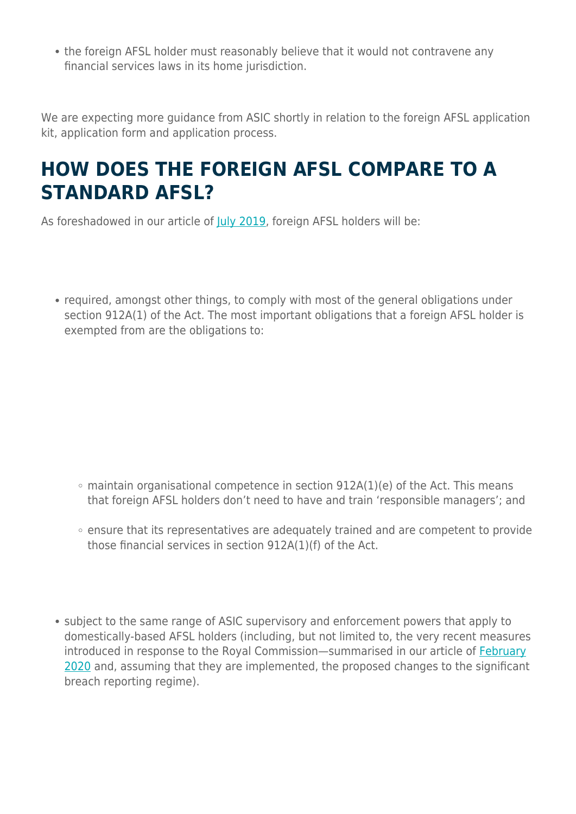• the foreign AFSL holder must reasonably believe that it would not contravene any financial services laws in its home jurisdiction.

We are expecting more guidance from ASIC shortly in relation to the foreign AFSL application kit, application form and application process.

#### **HOW DOES THE FOREIGN AFSL COMPARE TO A STANDARD AFSL?**

As foreshadowed in our article of [July 2019,](https://www.herbertsmithfreehills.com/latest-thinking/asic-unveils-new-licensing-framework-for-foreign-financial-services-providers) foreign AFSL holders will be:

• required, amongst other things, to comply with most of the general obligations under section 912A(1) of the Act. The most important obligations that a foreign AFSL holder is exempted from are the obligations to:

- $\circ$  maintain organisational competence in section 912A(1)(e) of the Act. This means that foreign AFSL holders don't need to have and train 'responsible managers'; and
- ensure that its representatives are adequately trained and are competent to provide those financial services in section 912A(1)(f) of the Act.
- subject to the same range of ASIC supervisory and enforcement powers that apply to domestically-based AFSL holders (including, but not limited to, the very recent measures introduced in response to the Royal Commission—summarised in our article of [February](https://www.herbertsmithfreehills.com/latest-thinking/important-changes-in-the-afsl-landscape) [2020](https://www.herbertsmithfreehills.com/latest-thinking/important-changes-in-the-afsl-landscape) and, assuming that they are implemented, the proposed changes to the significant breach reporting regime).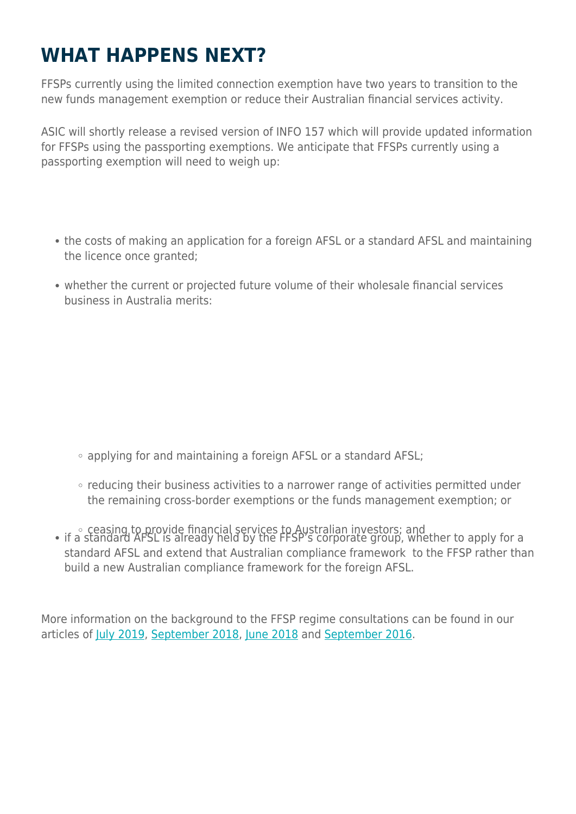## **WHAT HAPPENS NEXT?**

FFSPs currently using the limited connection exemption have two years to transition to the new funds management exemption or reduce their Australian financial services activity.

ASIC will shortly release a revised version of INFO 157 which will provide updated information for FFSPs using the passporting exemptions. We anticipate that FFSPs currently using a passporting exemption will need to weigh up:

- the costs of making an application for a foreign AFSL or a standard AFSL and maintaining the licence once granted;
- whether the current or projected future volume of their wholesale financial services business in Australia merits:

- applying for and maintaining a foreign AFSL or a standard AFSL;
- reducing their business activities to a narrower range of activities permitted under the remaining cross-border exemptions or the funds management exemption; or
- eceasing to provide financial services to Australian investors; and if a standard AFSL is already held by the FFSP's corporate group, whether to apply for a standard AFSL and extend that Australian compliance framework to the FFSP rather than build a new Australian compliance framework for the foreign AFSL.

More information on the background to the FFSP regime consultations can be found in our articles of [July 2019,](https://www.herbertsmithfreehills.com/latest-thinking/asic-unveils-new-licensing-framework-for-foreign-financial-services-providers) [September 2018](https://www.herbertsmithfreehills.com/latest-thinking/asic-extends-ffsp-exemptions-for-a-further-12-months), [June 2018](https://www.herbertsmithfreehills.com/latest-thinking/asic-will-extinguish-ffsp-relief-unless-convinced-otherwise) and [September 2016](https://www.herbertsmithfreehills.com/latest-thinking/asic-extends-foreign-financial-service-provider-relief-%E2%80%93-but-there%E2%80%99s-a-catch%E2%80%A6).